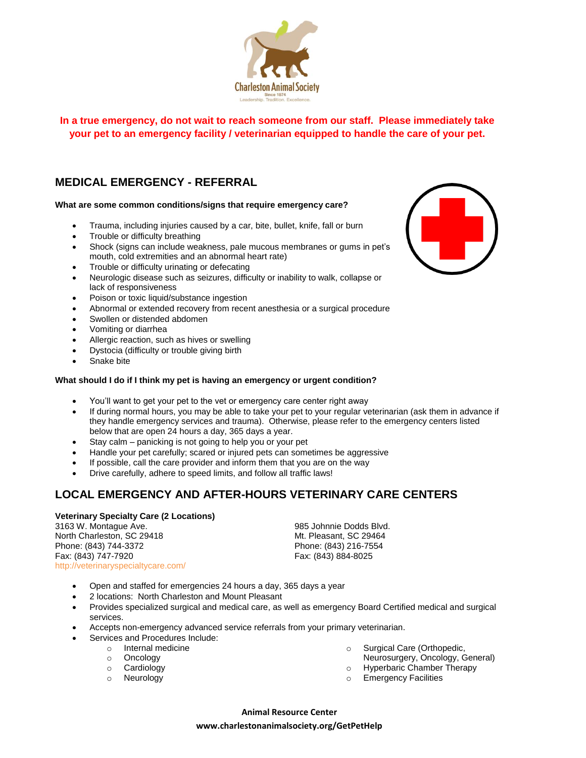

**In a true emergency, do not wait to reach someone from our staff. Please immediately take your pet to an emergency facility / veterinarian equipped to handle the care of your pet.**

# **MEDICAL EMERGENCY - REFERRAL**

### **What are some common conditions/signs that require emergency care?**

- Trauma, including injuries caused by a car, bite, bullet, knife, fall or burn
- Trouble or difficulty breathing
- Shock (signs can include weakness, pale mucous membranes or gums in pet's mouth, cold extremities and an abnormal heart rate)
- Trouble or difficulty urinating or defecating
- Neurologic disease such as seizures, difficulty or inability to walk, collapse or lack of responsiveness
- Poison or toxic liquid/substance ingestion
- Abnormal or extended recovery from recent anesthesia or a surgical procedure
- Swollen or distended abdomen
- Vomiting or diarrhea
- Allergic reaction, such as hives or swelling
- Dystocia (difficulty or trouble giving birth
- Snake bite

## **What should I do if I think my pet is having an emergency or urgent condition?**

- You'll want to get your pet to the vet or emergency care center right away
- If during normal hours, you may be able to take your pet to your regular veterinarian (ask them in advance if they handle emergency services and trauma). Otherwise, please refer to the emergency centers listed below that are open 24 hours a day, 365 days a year.
- Stay calm panicking is not going to help you or your pet
- Handle your pet carefully; scared or injured pets can sometimes be aggressive
- If possible, call the care provider and inform them that you are on the way
- Drive carefully, adhere to speed limits, and follow all traffic laws!

# **LOCAL EMERGENCY AND AFTER-HOURS VETERINARY CARE CENTERS**

### **Veterinary Specialty Care (2 Locations)**

3163 W. Montague Ave. North Charleston, SC 29418 Phone: (843) 744-3372 Fax: (843) 747-7920 <http://veterinaryspecialtycare.com/>

985 Johnnie Dodds Blvd. Mt. Pleasant, SC 29464 Phone: (843) 216-7554 Fax: (843) 884-8025

- Open and staffed for emergencies 24 hours a day, 365 days a year
- 2 locations: North Charleston and Mount Pleasant
- Provides specialized surgical and medical care, as well as emergency Board Certified medical and surgical services.
- Accepts non-emergency advanced service referrals from your primary veterinarian.
- Services and Procedures Include:
	- o Internal medicine
	- o Oncology
	- o Cardiology
	- o Neurology
- o Surgical Care (Orthopedic, Neurosurgery, Oncology, General)
- o Hyperbaric Chamber Therapy
- o Emergency Facilities